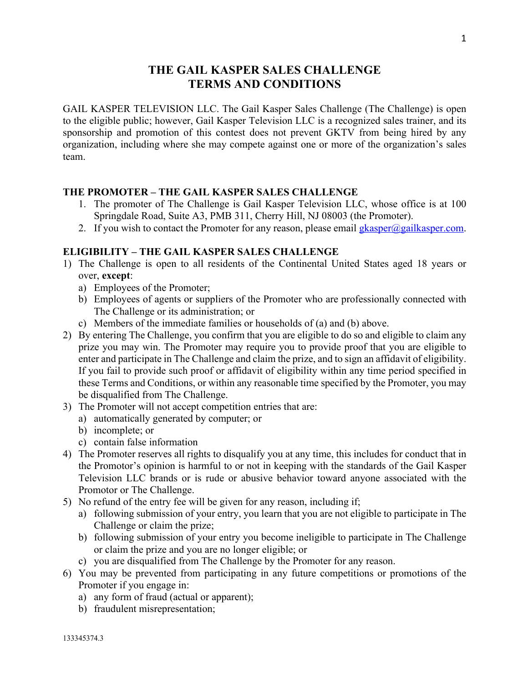# **THE GAIL KASPER SALES CHALLENGE TERMS AND CONDITIONS**

GAIL KASPER TELEVISION LLC. The Gail Kasper Sales Challenge (The Challenge) is open to the eligible public; however, Gail Kasper Television LLC is a recognized sales trainer, and its sponsorship and promotion of this contest does not prevent GKTV from being hired by any organization, including where she may compete against one or more of the organization's sales team.

# **THE PROMOTER – THE GAIL KASPER SALES CHALLENGE**

- 1. The promoter of The Challenge is Gail Kasper Television LLC, whose office is at 100 Springdale Road, Suite A3, PMB 311, Cherry Hill, NJ 08003 (the Promoter).
- 2. If you wish to contact the Promoter for any reason, please email  $g$ kasper $\omega$ gailkasper.com.

### **ELIGIBILITY – THE GAIL KASPER SALES CHALLENGE**

- 1) The Challenge is open to all residents of the Continental United States aged 18 years or over, **except**:
	- a) Employees of the Promoter;
	- b) Employees of agents or suppliers of the Promoter who are professionally connected with The Challenge or its administration; or
	- c) Members of the immediate families or households of (a) and (b) above.
- 2) By entering The Challenge, you confirm that you are eligible to do so and eligible to claim any prize you may win. The Promoter may require you to provide proof that you are eligible to enter and participate in The Challenge and claim the prize, and to sign an affidavit of eligibility. If you fail to provide such proof or affidavit of eligibility within any time period specified in these Terms and Conditions, or within any reasonable time specified by the Promoter, you may be disqualified from The Challenge.
- 3) The Promoter will not accept competition entries that are:
	- a) automatically generated by computer; or
	- b) incomplete; or
	- c) contain false information
- 4) The Promoter reserves all rights to disqualify you at any time, this includes for conduct that in the Promotor's opinion is harmful to or not in keeping with the standards of the Gail Kasper Television LLC brands or is rude or abusive behavior toward anyone associated with the Promotor or The Challenge.
- 5) No refund of the entry fee will be given for any reason, including if;
	- a) following submission of your entry, you learn that you are not eligible to participate in The Challenge or claim the prize;
	- b) following submission of your entry you become ineligible to participate in The Challenge or claim the prize and you are no longer eligible; or
	- c) you are disqualified from The Challenge by the Promoter for any reason.
- 6) You may be prevented from participating in any future competitions or promotions of the Promoter if you engage in:
	- a) any form of fraud (actual or apparent);
	- b) fraudulent misrepresentation;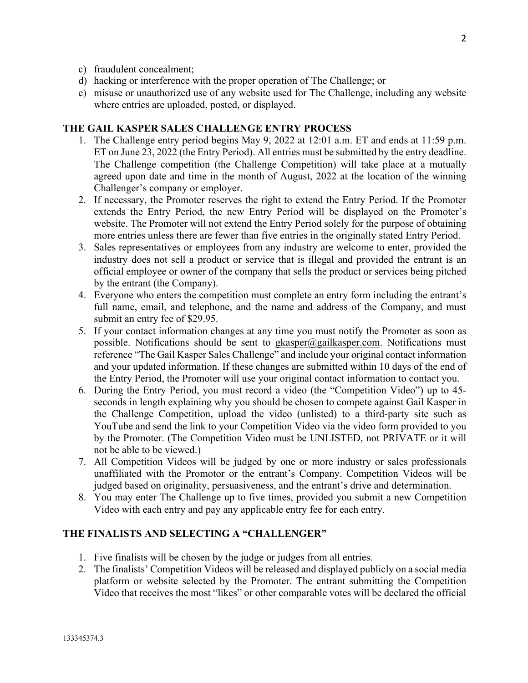- c) fraudulent concealment;
- d) hacking or interference with the proper operation of The Challenge; or
- e) misuse or unauthorized use of any website used for The Challenge, including any website where entries are uploaded, posted, or displayed.

### **THE GAIL KASPER SALES CHALLENGE ENTRY PROCESS**

- 1. The Challenge entry period begins May 9, 2022 at 12:01 a.m. ET and ends at 11:59 p.m. ET on June 23, 2022 (the Entry Period). All entries must be submitted by the entry deadline. The Challenge competition (the Challenge Competition) will take place at a mutually agreed upon date and time in the month of August, 2022 at the location of the winning Challenger's company or employer.
- 2. If necessary, the Promoter reserves the right to extend the Entry Period. If the Promoter extends the Entry Period, the new Entry Period will be displayed on the Promoter's website. The Promoter will not extend the Entry Period solely for the purpose of obtaining more entries unless there are fewer than five entries in the originally stated Entry Period.
- 3. Sales representatives or employees from any industry are welcome to enter, provided the industry does not sell a product or service that is illegal and provided the entrant is an official employee or owner of the company that sells the product or services being pitched by the entrant (the Company).
- 4. Everyone who enters the competition must complete an entry form including the entrant's full name, email, and telephone, and the name and address of the Company, and must submit an entry fee of \$29.95.
- 5. If your contact information changes at any time you must notify the Promoter as soon as possible. Notifications should be sent to gkasper@gailkasper.com. Notifications must reference "The Gail Kasper Sales Challenge" and include your original contact information and your updated information. If these changes are submitted within 10 days of the end of the Entry Period, the Promoter will use your original contact information to contact you.
- 6. During the Entry Period, you must record a video (the "Competition Video") up to 45 seconds in length explaining why you should be chosen to compete against Gail Kasper in the Challenge Competition, upload the video (unlisted) to a third-party site such as YouTube and send the link to your Competition Video via the video form provided to you by the Promoter. (The Competition Video must be UNLISTED, not PRIVATE or it will not be able to be viewed.)
- 7. All Competition Videos will be judged by one or more industry or sales professionals unaffiliated with the Promotor or the entrant's Company. Competition Videos will be judged based on originality, persuasiveness, and the entrant's drive and determination.
- 8. You may enter The Challenge up to five times, provided you submit a new Competition Video with each entry and pay any applicable entry fee for each entry.

#### **THE FINALISTS AND SELECTING A "CHALLENGER"**

- 1. Five finalists will be chosen by the judge or judges from all entries.
- 2. The finalists' Competition Videos will be released and displayed publicly on a social media platform or website selected by the Promoter. The entrant submitting the Competition Video that receives the most "likes" or other comparable votes will be declared the official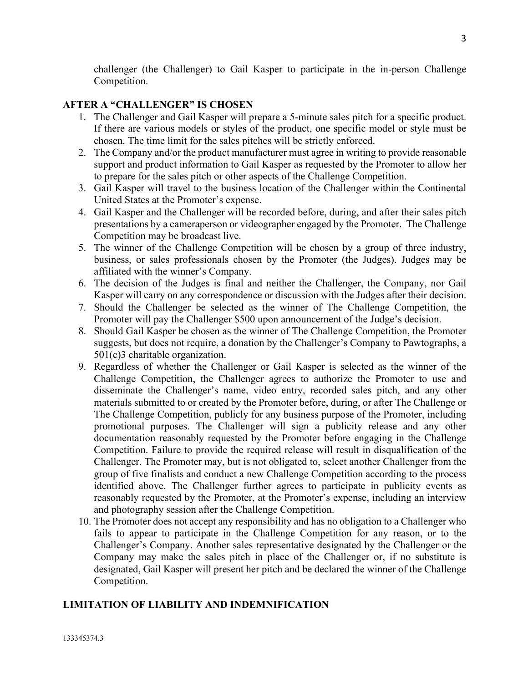challenger (the Challenger) to Gail Kasper to participate in the in-person Challenge Competition.

# **AFTER A "CHALLENGER" IS CHOSEN**

- 1. The Challenger and Gail Kasper will prepare a 5-minute sales pitch for a specific product. If there are various models or styles of the product, one specific model or style must be chosen. The time limit for the sales pitches will be strictly enforced.
- 2. The Company and/or the product manufacturer must agree in writing to provide reasonable support and product information to Gail Kasper as requested by the Promoter to allow her to prepare for the sales pitch or other aspects of the Challenge Competition.
- 3. Gail Kasper will travel to the business location of the Challenger within the Continental United States at the Promoter's expense.
- 4. Gail Kasper and the Challenger will be recorded before, during, and after their sales pitch presentations by a cameraperson or videographer engaged by the Promoter. The Challenge Competition may be broadcast live.
- 5. The winner of the Challenge Competition will be chosen by a group of three industry, business, or sales professionals chosen by the Promoter (the Judges). Judges may be affiliated with the winner's Company.
- 6. The decision of the Judges is final and neither the Challenger, the Company, nor Gail Kasper will carry on any correspondence or discussion with the Judges after their decision.
- 7. Should the Challenger be selected as the winner of The Challenge Competition, the Promoter will pay the Challenger \$500 upon announcement of the Judge's decision.
- 8. Should Gail Kasper be chosen as the winner of The Challenge Competition, the Promoter suggests, but does not require, a donation by the Challenger's Company to Pawtographs, a 501(c)3 charitable organization.
- 9. Regardless of whether the Challenger or Gail Kasper is selected as the winner of the Challenge Competition, the Challenger agrees to authorize the Promoter to use and disseminate the Challenger's name, video entry, recorded sales pitch, and any other materials submitted to or created by the Promoter before, during, or after The Challenge or The Challenge Competition, publicly for any business purpose of the Promoter, including promotional purposes. The Challenger will sign a publicity release and any other documentation reasonably requested by the Promoter before engaging in the Challenge Competition. Failure to provide the required release will result in disqualification of the Challenger. The Promoter may, but is not obligated to, select another Challenger from the group of five finalists and conduct a new Challenge Competition according to the process identified above. The Challenger further agrees to participate in publicity events as reasonably requested by the Promoter, at the Promoter's expense, including an interview and photography session after the Challenge Competition.
- 10. The Promoter does not accept any responsibility and has no obligation to a Challenger who fails to appear to participate in the Challenge Competition for any reason, or to the Challenger's Company. Another sales representative designated by the Challenger or the Company may make the sales pitch in place of the Challenger or, if no substitute is designated, Gail Kasper will present her pitch and be declared the winner of the Challenge Competition.

# **LIMITATION OF LIABILITY AND INDEMNIFICATION**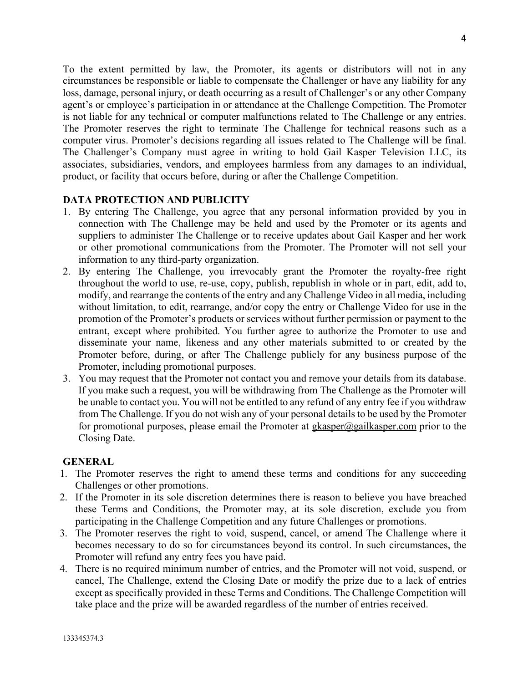To the extent permitted by law, the Promoter, its agents or distributors will not in any circumstances be responsible or liable to compensate the Challenger or have any liability for any loss, damage, personal injury, or death occurring as a result of Challenger's or any other Company agent's or employee's participation in or attendance at the Challenge Competition. The Promoter is not liable for any technical or computer malfunctions related to The Challenge or any entries. The Promoter reserves the right to terminate The Challenge for technical reasons such as a computer virus. Promoter's decisions regarding all issues related to The Challenge will be final. The Challenger's Company must agree in writing to hold Gail Kasper Television LLC, its associates, subsidiaries, vendors, and employees harmless from any damages to an individual, product, or facility that occurs before, during or after the Challenge Competition.

# **DATA PROTECTION AND PUBLICITY**

- 1. By entering The Challenge, you agree that any personal information provided by you in connection with The Challenge may be held and used by the Promoter or its agents and suppliers to administer The Challenge or to receive updates about Gail Kasper and her work or other promotional communications from the Promoter. The Promoter will not sell your information to any third-party organization.
- 2. By entering The Challenge, you irrevocably grant the Promoter the royalty-free right throughout the world to use, re-use, copy, publish, republish in whole or in part, edit, add to, modify, and rearrange the contents of the entry and any Challenge Video in all media, including without limitation, to edit, rearrange, and/or copy the entry or Challenge Video for use in the promotion of the Promoter's products or services without further permission or payment to the entrant, except where prohibited. You further agree to authorize the Promoter to use and disseminate your name, likeness and any other materials submitted to or created by the Promoter before, during, or after The Challenge publicly for any business purpose of the Promoter, including promotional purposes.
- 3. You may request that the Promoter not contact you and remove your details from its database. If you make such a request, you will be withdrawing from The Challenge as the Promoter will be unable to contact you. You will not be entitled to any refund of any entry fee if you withdraw from The Challenge. If you do not wish any of your personal details to be used by the Promoter for promotional purposes, please email the Promoter at gkasper $\omega$ gailkasper.com prior to the Closing Date.

### **GENERAL**

- 1. The Promoter reserves the right to amend these terms and conditions for any succeeding Challenges or other promotions.
- 2. If the Promoter in its sole discretion determines there is reason to believe you have breached these Terms and Conditions, the Promoter may, at its sole discretion, exclude you from participating in the Challenge Competition and any future Challenges or promotions.
- 3. The Promoter reserves the right to void, suspend, cancel, or amend The Challenge where it becomes necessary to do so for circumstances beyond its control. In such circumstances, the Promoter will refund any entry fees you have paid.
- 4. There is no required minimum number of entries, and the Promoter will not void, suspend, or cancel, The Challenge, extend the Closing Date or modify the prize due to a lack of entries except as specifically provided in these Terms and Conditions. The Challenge Competition will take place and the prize will be awarded regardless of the number of entries received.